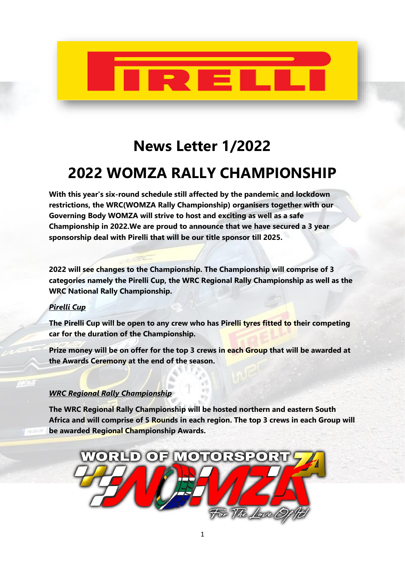

# **News Letter 1/2022**

# **2022 WOMZA RALLY CHAMPIONSHIP**

**With this year's six-round schedule still affected by the pandemic and lockdown restrictions, the WRC(WOMZA Rally Championship) organisers together with our Governing Body WOMZA will strive to host and exciting as well as a safe Championship in 2022.We are proud to announce that we have secured a 3 year sponsorship deal with Pirelli that will be our title sponsor till 2025.**

**2022 will see changes to the Championship. The Championship will comprise of 3 categories namely the Pirelli Cup, the WRC Regional Rally Championship as well as the WRC National Rally Championship.**

# *Pirelli Cup*

**The Pirelli Cup will be open to any crew who has Pirelli tyres fitted to their competing car for the duration of the Championship.**

**Prize money will be on offer for the top 3 crews in each Group that will be awarded at the Awards Ceremony at the end of the season.**

### *WRC Regional Rally Championship*

**The WRC Regional Rally Championship will be hosted northern and eastern South Africa and will comprise of 5 Rounds in each region. The top 3 crews in each Group will be awarded Regional Championship Awards.**

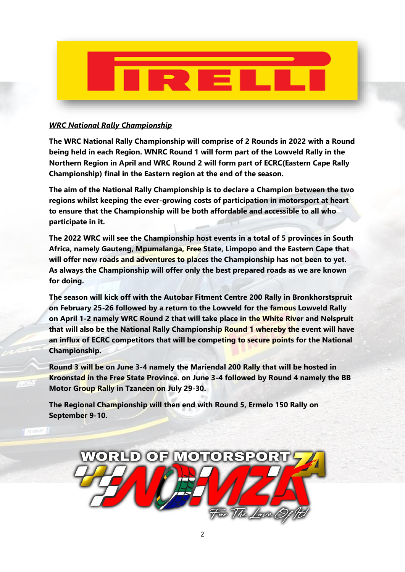

### *WRC National Rally Championship*

**The WRC National Rally Championship will comprise of 2 Rounds in 2022 with a Round being held in each Region. WNRC Round 1 will form part of the Lowveld Rally in the Northern Region in April and WRC Round 2 will form part of ECRC(Eastern Cape Rally Championship) final in the Eastern region at the end of the season.**

**The aim of the National Rally Championship is to declare a Champion between the two regions whilst keeping the ever-growing costs of participation in motorsport at heart to ensure that the Championship will be both affordable and accessible to all who participate in it.**

**The 2022 WRC will see the Championship host events in a total of 5 provinces in South Africa, namely Gauteng, Mpumalanga, Free State, Limpopo and the Eastern Cape that will offer new roads and adventures to places the Championship has not been to yet. As always the Championship will offer only the best prepared roads as we are known for doing.**

**The season will kick off with the Autobar Fitment Centre 200 Rally in Bronkhorstspruit on February 25-26 followed by a return to the Lowveld for the famous Lowveld Rally on April 1-2 namely WRC Round 2 that will take place in the White River and Nelspruit that will also be the National Rally Championship Round 1 whereby the event will have an influx of ECRC competitors that will be competing to secure points for the National Championship.**

**Round 3 will be on June 3-4 namely the Mariendal 200 Rally that will be hosted in Kroonstad in the Free State Province. on June 3-4 followed by Round 4 namely the BB Motor Group Rally in Tzaneen on July 29-30.**

**The Regional Championship will then end with Round 5, Ermelo 150 Rally on September 9-10.**

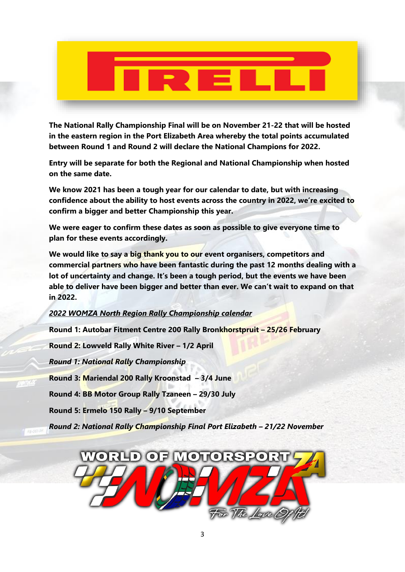**The National Rally Championship Final will be on November 21-22 that will be hosted in the eastern region in the Port Elizabeth Area whereby the total points accumulated between Round 1 and Round 2 will declare the National Champions for 2022.**

**Entry will be separate for both the Regional and National Championship when hosted on the same date.**

**We know 2021 has been a tough year for our calendar to date, but with increasing confidence about the ability to host events across the country in 2022, we're excited to confirm a bigger and better Championship this year.**

**We were eager to confirm these dates as soon as possible to give everyone time to plan for these events accordingly.**

**We would like to say a big thank you to our event organisers, competitors and commercial partners who have been fantastic during the past 12 months dealing with a lot of uncertainty and change. It's been a tough period, but the events we have been able to deliver have been bigger and better than ever. We can't wait to expand on that in 2022.**

*2022 WOMZA North Region Rally Championship calendar*

**Round 1: Autobar Fitment Centre 200 Rally Bronkhorstpruit – 25/26 February**

**Round 2: Lowveld Rally White River – 1/2 April** 

*Round 1: National Rally Championship*

**Round 3: Mariendal 200 Rally Kroonstad – 3/4 June**

**Round 4: BB Motor Group Rally Tzaneen – 29/30 July**

**Round 5: Ermelo 150 Rally – 9/10 September**

*Round 2: National Rally Championship Final Port Elizabeth – 21/22 November*

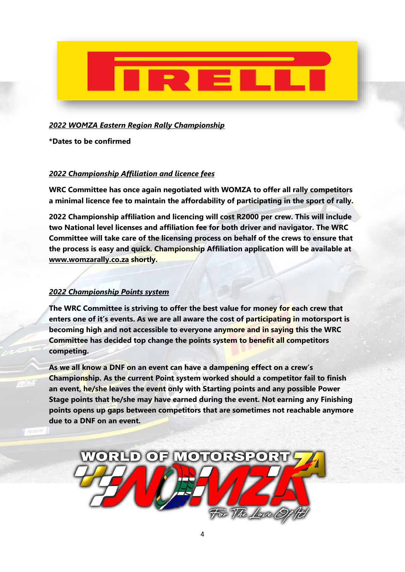![](_page_3_Picture_0.jpeg)

# *2022 WOMZA Eastern Region Rally Championship*

**\*Dates to be confirmed**

# *2022 Championship Affiliation and licence fees*

**WRC Committee has once again negotiated with WOMZA to offer all rally competitors a minimal licence fee to maintain the affordability of participating in the sport of rally.**

**2022 Championship affiliation and licencing will cost R2000 per crew. This will include two National level licenses and affiliation fee for both driver and navigator. The WRC Committee will take care of the licensing process on behalf of the crews to ensure that the process is easy and quick. Championship Affiliation application will be available at [www.womzarally.co.za](http://www.womzarally.co.za/) shortly.**

# *2022 Championship Points system*

**The WRC Committee is striving to offer the best value for money for each crew that enters one of it's events. As we are all aware the cost of participating in motorsport is becoming high and not accessible to everyone anymore and in saying this the WRC Committee has decided top change the points system to benefit all competitors competing.**

**As we all know a DNF on an event can have a dampening effect on a crew's Championship. As the current Point system worked should a competitor fail to finish an event, he/she leaves the event only with Starting points and any possible Power Stage points that he/she may have earned during the event. Not earning any Finishing points opens up gaps between competitors that are sometimes not reachable anymore due to a DNF on an event.**

![](_page_3_Picture_9.jpeg)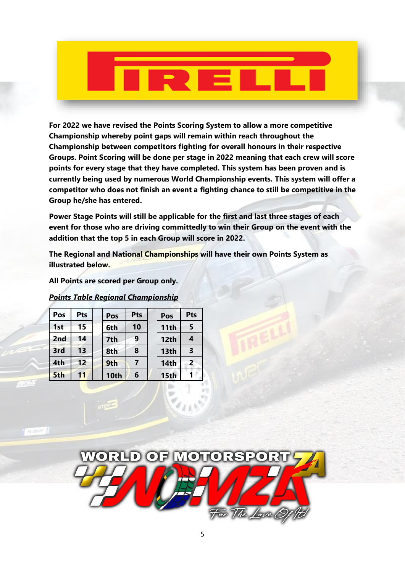**For 2022 we have revised the Points Scoring System to allow a more competitive Championship whereby point gaps will remain within reach throughout the Championship between competitors fighting for overall honours in their respective Groups. Point Scoring will be done per stage in 2022 meaning that each crew will score points for every stage that they have completed. This system has been proven and is currently being used by numerous World Championship events. This system will offer a competitor who does not finish an event a fighting chance to still be competitive in the Group he/she has entered.**

**Power Stage Points will still be applicable for the first and last three stages of each event for those who are driving committedly to win their Group on the event with the addition that the top 5 in each Group will score in 2022.**

**The Regional and National Championships will have their own Points System as illustrated below.** 

**All Points are scored per Group only.**

# *Points Table Regional Championship*

| Pos             | Pts | Pos  | Pts | Pos         | <b>Pts</b>   |
|-----------------|-----|------|-----|-------------|--------------|
| 1st             | 15  | 6th  | 10  | 11th        | 5            |
| 2 <sub>nd</sub> | 14  | 7th  | 9   | 12th        |              |
| 3rd             | 13  | 8th  | 8   | 13th        | 3            |
| 4th             | 12  | 9th  |     | 14th        | $\mathbf{2}$ |
| 5th             | 11  | 10th | 6   | <b>15th</b> |              |

![](_page_4_Picture_7.jpeg)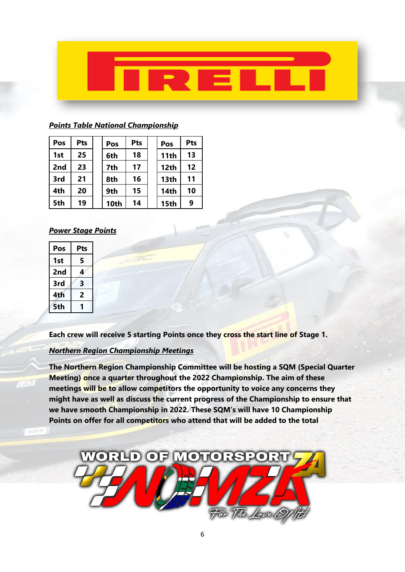![](_page_5_Picture_0.jpeg)

### *Points Table National Championship*

| Pos | Pts | Pos  | Pts | Pos  | Pts |
|-----|-----|------|-----|------|-----|
| 1st | 25  | 6th  | 18  | 11th | 13  |
| 2nd | 23  | 7th  | 17  | 12th | 12  |
| 3rd | 21  | 8th  | 16  | 13th | 11  |
| 4th | 20  | 9th  | 15  | 14th | 10  |
| 5th | 19  | 10th | 14  | 15th | 9   |

### *Power Stage Points*

| Pos | Pts |  |  |
|-----|-----|--|--|
| 1st | 5   |  |  |
| 2nd |     |  |  |
| 3rd | 3   |  |  |
| 4th | 2   |  |  |
| 5th |     |  |  |

**Each crew will receive 5 starting Points once they cross the start line of Stage 1.**

### *Northern Region Championship Meetings*

**The Northern Region Championship Committee will be hosting a SQM (Special Quarter Meeting) once a quarter throughout the 2022 Championship. The aim of these meetings will be to allow competitors the opportunity to voice any concerns they might have as well as discuss the current progress of the Championship to ensure that we have smooth Championship in 2022. These SQM's will have 10 Championship Points on offer for all competitors who attend that will be added to the total** 

![](_page_5_Picture_8.jpeg)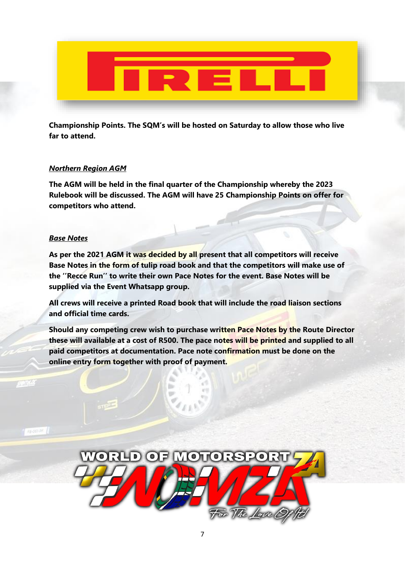![](_page_6_Picture_0.jpeg)

**Championship Points. The SQM's will be hosted on Saturday to allow those who live far to attend.**

### *Northern Region AGM*

**The AGM will be held in the final quarter of the Championship whereby the 2023 Rulebook will be discussed. The AGM will have 25 Championship Points on offer for competitors who attend.**

### *Base Notes*

**As per the 2021 AGM it was decided by all present that all competitors will receive Base Notes in the form of tulip road book and that the competitors will make use of the ''Recce Run'' to write their own Pace Notes for the event. Base Notes will be supplied via the Event Whatsapp group.**

**All crews will receive a printed Road book that will include the road liaison sections and official time cards.**

**Should any competing crew wish to purchase written Pace Notes by the Route Director these will available at a cost of R500. The pace notes will be printed and supplied to all paid competitors at documentation. Pace note confirmation must be done on the online entry form together with proof of payment.**

![](_page_6_Picture_8.jpeg)